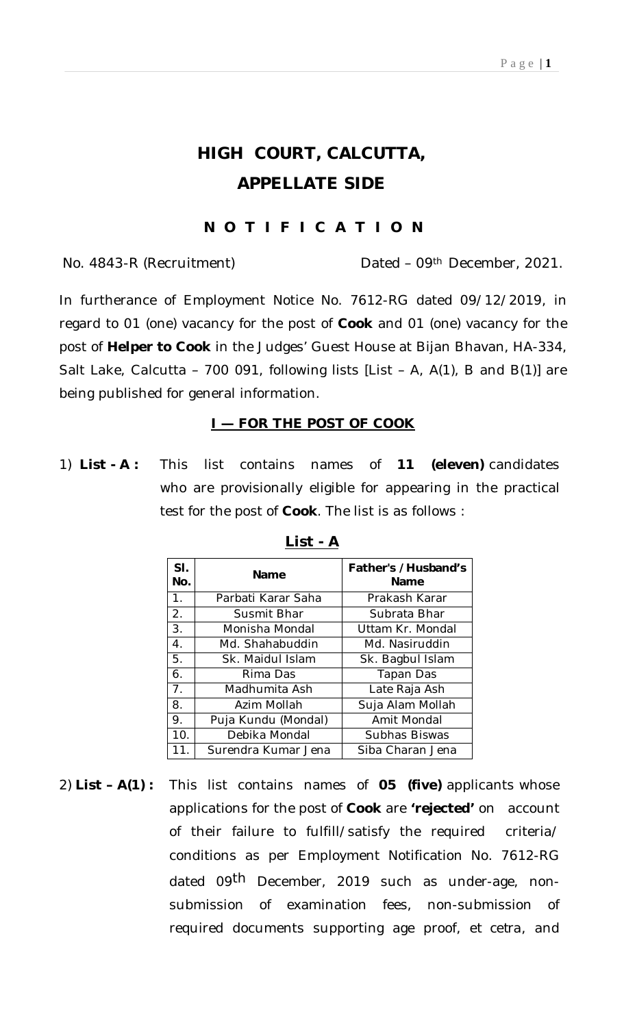# **HIGH COURT, CALCUTTA, APPELLATE SIDE**

## **N O T I F I C A T I O N**

No. 4843-R (Recruitment) Dated – 09th December, 2021.

In furtherance of Employment Notice No. 7612-RG dated 09/12/2019, in regard to 01 (one) vacancy for the post of **Cook** and 01 (one) vacancy for the post of **Helper to Cook** in the Judges' Guest House at Bijan Bhavan, HA-334, Salt Lake, Calcutta – 700 091, following lists [List – A, A(1), B and B(1)] are being published for general information.

#### **I — FOR THE POST OF COOK**

1) **List - A :** This list contains names of **11 (eleven)** candidates who are provisionally eligible for appearing in the practical test for the post of **Cook**. The list is as follows :

| SI.<br>No.     | <b>Name</b>         | Father's /Husband's<br><b>Name</b> |
|----------------|---------------------|------------------------------------|
| $\mathbf 1$ .  | Parbati Karar Saha  | Prakash Karar                      |
| 2.             | Susmit Bhar         | Subrata Bhar                       |
| 3.             | Monisha Mondal      | Uttam Kr. Mondal                   |
| 4.             | Md. Shahabuddin     | Md. Nasiruddin                     |
| 5.             | Sk. Maidul Islam    | Sk. Bagbul Islam                   |
| 6.             | Rima Das            | Tapan Das                          |
| 7 <sub>1</sub> | Madhumita Ash       | Late Raja Ash                      |
| 8.             | Azim Mollah         | Suja Alam Mollah                   |
| 9.             | Puja Kundu (Mondal) | Amit Mondal                        |
| 10.            | Debika Mondal       | Subhas Biswas                      |
| 11             | Surendra Kumar Jena | Siba Charan Jena                   |

#### **List - A**

2) **List – A(1) :** This list contains names of **05 (five)** applicants whose applications for the post of **Cook** are **'***rejected'* on account of their failure to fulfill/satisfy the required criteria/ conditions as per Employment Notification No. 7612-RG dated 09<sup>th</sup> December, 2019 such as under-age, nonsubmission of examination fees, non-submission of required documents supporting age proof, *et cetra*, and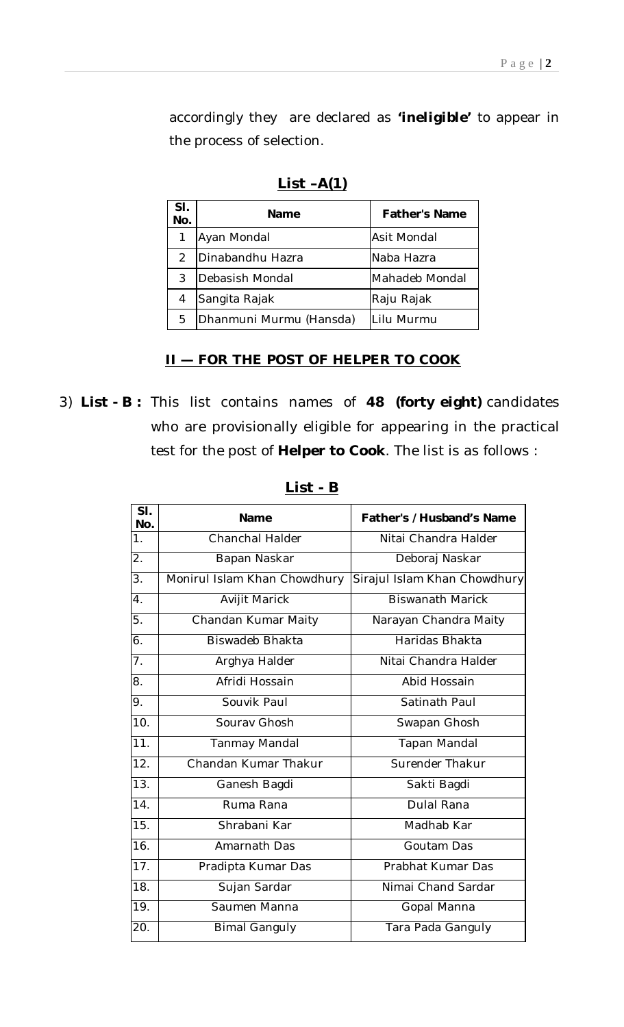accordingly they are declared as *'ineligible'* to appear in the process of selection.

| SI.<br>No.    | Name                    | <b>Father's Name</b> |
|---------------|-------------------------|----------------------|
|               | Ayan Mondal             | Asit Mondal          |
| $\mathcal{P}$ | Dinabandhu Hazra        | Naba Hazra           |
| 3             | Debasish Mondal         | Mahadeb Mondal       |
| 4             | Sangita Rajak           | Raju Rajak           |
| 5.            | Dhanmuni Murmu (Hansda) | Lilu Murmu           |

**List –A(1)**

### **II — FOR THE POST OF HELPER TO COOK**

3) **List - B :** This list contains names of **48 (forty eight)** candidates who are provisionally eligible for appearing in the practical test for the post of **Helper to Cook**. The list is as follows :

| SI.<br>No.        | Name                         | Father's /Husband's Name     |
|-------------------|------------------------------|------------------------------|
| $\overline{1}$ .  | Chanchal Halder              | Nitai Chandra Halder         |
| $\overline{2}$ .  | Bapan Naskar                 | Deboraj Naskar               |
| $\overline{3}$ .  | Monirul Islam Khan Chowdhury | Sirajul Islam Khan Chowdhury |
| $\overline{4}$ .  | Avijit Marick                | <b>Biswanath Marick</b>      |
| 5.                | Chandan Kumar Maity          | Narayan Chandra Maity        |
| 6.                | <b>Biswadeb Bhakta</b>       | Haridas Bhakta               |
| $\overline{7}$ .  | Arghya Halder                | Nitai Chandra Halder         |
| 8.                | Afridi Hossain               | Abid Hossain                 |
| $\overline{9}$ .  | Souvik Paul                  | Satinath Paul                |
| 10.               | Sourav Ghosh                 | Swapan Ghosh                 |
| 11.               | <b>Tanmay Mandal</b>         | Tapan Mandal                 |
| $\overline{12}$ . | Chandan Kumar Thakur         | Surender Thakur              |
| $\overline{13}$ . | Ganesh Bagdi                 | Sakti Bagdi                  |
| $\overline{14}$ . | Ruma Rana                    | Dulal Rana                   |
| 15.               | Shrabani Kar                 | Madhab Kar                   |
| 16.               | Amarnath Das                 | Goutam Das                   |
| 17.               | Pradipta Kumar Das           | Prabhat Kumar Das            |
| 18.               | Sujan Sardar                 | Nimai Chand Sardar           |
| 19.               | Saumen Manna                 | Gopal Manna                  |
| 20.               | <b>Bimal Ganguly</b>         | Tara Pada Ganguly            |

**List - B**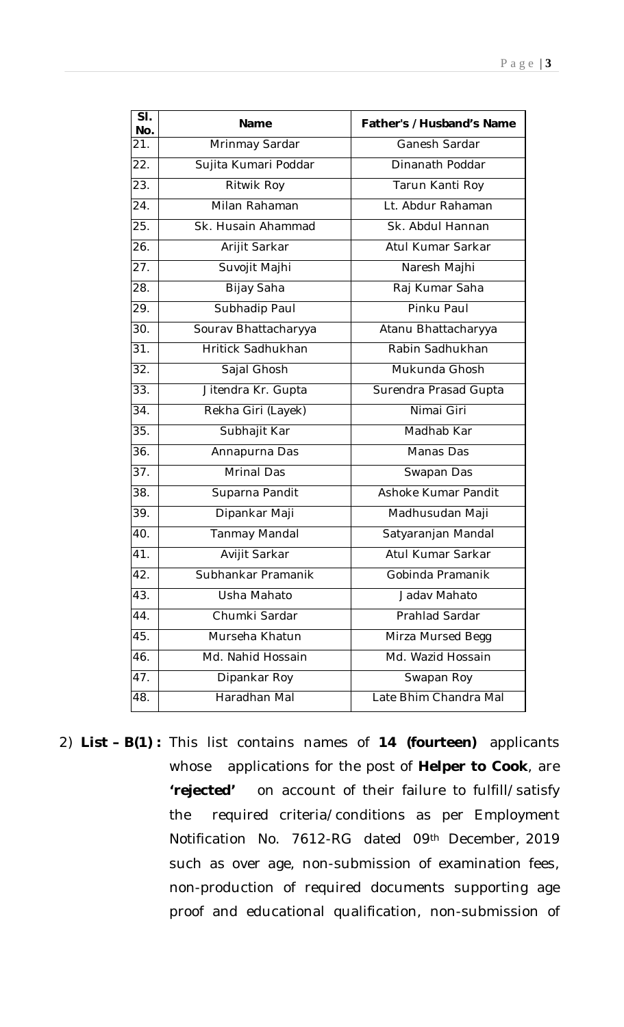| SI.<br>No.        | <b>Name</b>          | Father's /Husband's Name |
|-------------------|----------------------|--------------------------|
| 21.               | Mrinmay Sardar       | Ganesh Sardar            |
| 22.               | Sujita Kumari Poddar | Dinanath Poddar          |
| $\overline{23}$ . | Ritwik Roy           | Tarun Kanti Roy          |
| 24.               | Milan Rahaman        | Lt. Abdur Rahaman        |
| 25.               | Sk. Husain Ahammad   | Sk. Abdul Hannan         |
| 26.               | Arijit Sarkar        | Atul Kumar Sarkar        |
| 27.               | Suvojit Majhi        | Naresh Majhi             |
| 28.               | Bijay Saha           | Raj Kumar Saha           |
| 29.               | Subhadip Paul        | Pinku Paul               |
| 30.               | Sourav Bhattacharyya | Atanu Bhattacharyya      |
| $\overline{31}$ . | Hritick Sadhukhan    | Rabin Sadhukhan          |
| 32.               | Sajal Ghosh          | Mukunda Ghosh            |
| 33.               | Jitendra Kr. Gupta   | Surendra Prasad Gupta    |
| 34.               | Rekha Giri (Layek)   | Nimai Giri               |
| 35.               | Subhajit Kar         | Madhab Kar               |
| 36.               | Annapurna Das        | Manas Das                |
| 37.               | Mrinal Das           | Swapan Das               |
| 38.               | Suparna Pandit       | Ashoke Kumar Pandit      |
| 39.               | Dipankar Maji        | Madhusudan Maji          |
| 40.               | Tanmay Mandal        | Satyaranjan Mandal       |
| 41.               | Avijit Sarkar        | Atul Kumar Sarkar        |
| 42.               | Subhankar Pramanik   | Gobinda Pramanik         |
| 43.               | Usha Mahato          | Jadav Mahato             |
| 44.               | Chumki Sardar        | Prahlad Sardar           |
| 45.               | Murseha Khatun       | Mirza Mursed Begg        |
| 46.               | Md. Nahid Hossain    | Md. Wazid Hossain        |
| 47.               | Dipankar Roy         | Swapan Roy               |
| 48.               | Haradhan Mal         | Late Bhim Chandra Mal    |

2) **List – B(1) :** This list contains names of **14 (fourteen)** applicants whose applications for the post of **Helper to Cook**, are **'***rejected'* on account of their failure to fulfill/satisfy the required criteria/conditions as per Employment Notification No. 7612-RG dated 09th December, 2019 such as over age, non-submission of examination fees, non-production of required documents supporting age proof and educational qualification, non-submission of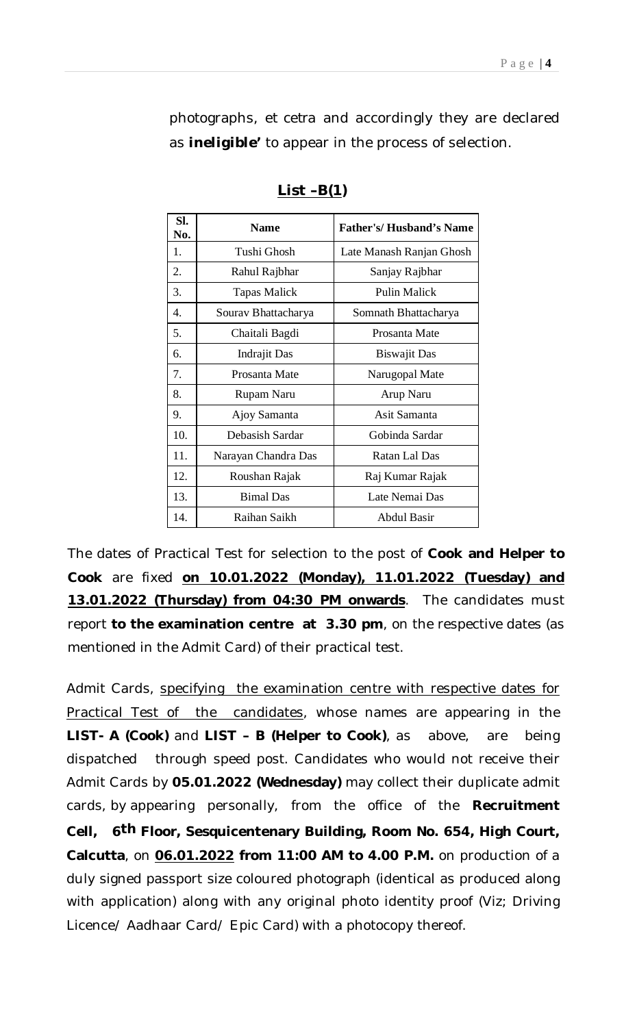photographs, *et cetra* and accordingly they are declared as *ineligible'* to appear in the process of selection.

| SI.<br>No. | <b>Name</b>         | <b>Father's/Husband's Name</b> |
|------------|---------------------|--------------------------------|
| 1.         | Tushi Ghosh         | Late Manash Ranjan Ghosh       |
| 2.         | Rahul Rajbhar       | Sanjay Rajbhar                 |
| 3.         | <b>Tapas Malick</b> | <b>Pulin Malick</b>            |
| 4.         | Sourav Bhattacharya | Somnath Bhattacharya           |
| 5.         | Chaitali Bagdi      | Prosanta Mate                  |
| б.         | <b>Indrajit Das</b> | <b>Biswajit Das</b>            |
| 7.         | Prosanta Mate       | Narugopal Mate                 |
| 8.         | Rupam Naru          | Arup Naru                      |
| 9.         | Ajoy Samanta        | Asit Samanta                   |
| 10.        | Debasish Sardar     | Gobinda Sardar                 |
| 11.        | Narayan Chandra Das | Ratan Lal Das                  |
| 12.        | Roushan Rajak       | Raj Kumar Rajak                |
| 13.        | <b>Bimal</b> Das    | Late Nemai Das                 |
| 14.        | Raihan Saikh        | <b>Abdul Basir</b>             |

**List –B(1)**

The dates of Practical Test for selection to the post of **Cook and Helper to Cook** are fixed **on 10.01.2022 (Monday), 11.01.2022 (Tuesday) and 13.01.2022 (Thursday) from 04:30 PM onwards**. The candidates must report **to the examination centre at 3.30 pm**, on the respective dates (as mentioned in the Admit Card) of their practical test.

Admit Cards, specifying the examination centre with respective dates for Practical Test of the candidates, whose names are appearing in the **LIST- A (Cook)** and **LIST – B (Helper to Cook)**, as above, are being dispatched through speed post. Candidates who would not receive their Admit Cards by **05.01.2022 (Wednesday)** may collect their duplicate admit cards, by appearing personally, from the office of the **Recruitment Cell, 6th Floor, Sesquicentenary Building, Room No. 654, High Court, Calcutta**, on **06.01.2022 from 11:00 AM to 4.00 P.M.** on production of a duly signed passport size coloured photograph (identical as produced along with application) along with any original photo identity proof (Viz; Driving Licence/ Aadhaar Card/ Epic Card) with a photocopy thereof.